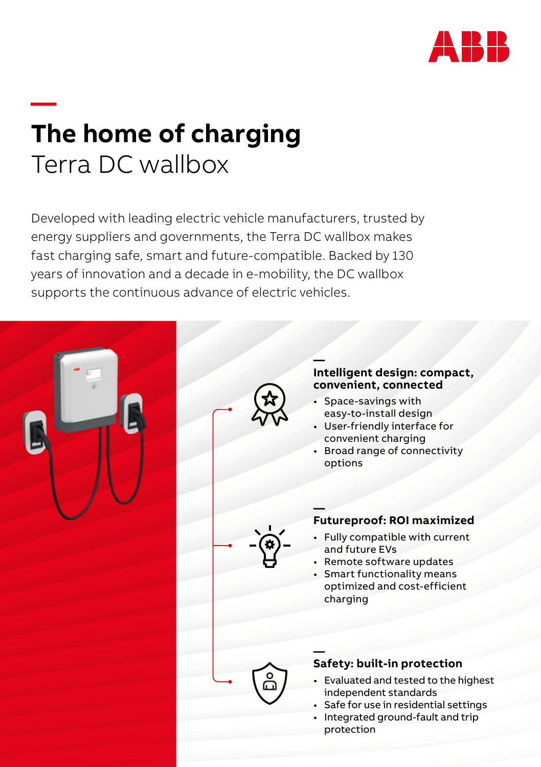

## **— The home of charging** Terra DC wallbox

Developed with leading electric vehicle manufacturers, trusted by energy suppliers and governments, the Terra DC wallbox makes fast charging safe, smart and future-compatible. Backed by 130 years of innovation and a decade in e-mobility, the DC wallbox supports the continuous advance of electric vehicles.